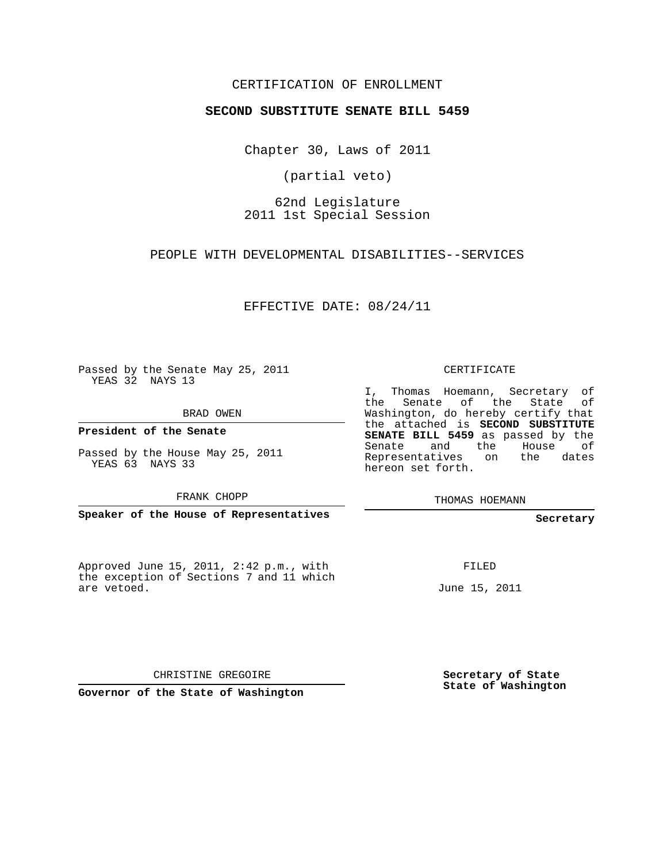## CERTIFICATION OF ENROLLMENT

## **SECOND SUBSTITUTE SENATE BILL 5459**

Chapter 30, Laws of 2011

(partial veto)

62nd Legislature 2011 1st Special Session

PEOPLE WITH DEVELOPMENTAL DISABILITIES--SERVICES

EFFECTIVE DATE: 08/24/11

Passed by the Senate May 25, 2011 YEAS 32 NAYS 13

BRAD OWEN

**President of the Senate**

Passed by the House May 25, 2011 YEAS 63 NAYS 33

FRANK CHOPP

**Speaker of the House of Representatives**

Approved June 15, 2011, 2:42 p.m., with the exception of Sections 7 and 11 which are vetoed.

CERTIFICATE

I, Thomas Hoemann, Secretary of the Senate of the State of Washington, do hereby certify that the attached is **SECOND SUBSTITUTE SENATE BILL 5459** as passed by the Senate and the House of Representatives on the dates hereon set forth.

THOMAS HOEMANN

**Secretary**

FILED

June 15, 2011

CHRISTINE GREGOIRE

**Governor of the State of Washington**

**Secretary of State State of Washington**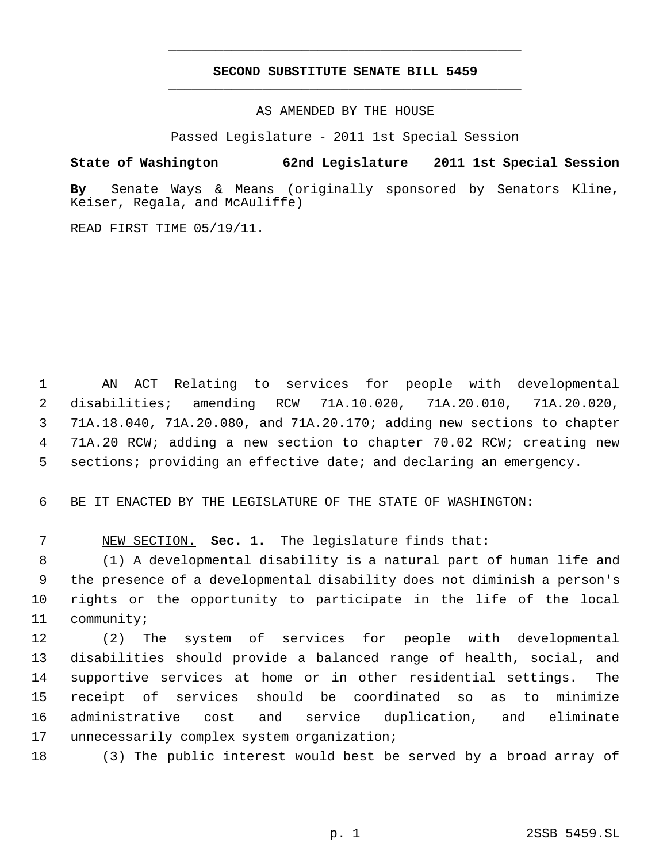## **SECOND SUBSTITUTE SENATE BILL 5459** \_\_\_\_\_\_\_\_\_\_\_\_\_\_\_\_\_\_\_\_\_\_\_\_\_\_\_\_\_\_\_\_\_\_\_\_\_\_\_\_\_\_\_\_\_

\_\_\_\_\_\_\_\_\_\_\_\_\_\_\_\_\_\_\_\_\_\_\_\_\_\_\_\_\_\_\_\_\_\_\_\_\_\_\_\_\_\_\_\_\_

AS AMENDED BY THE HOUSE

Passed Legislature - 2011 1st Special Session

**State of Washington 62nd Legislature 2011 1st Special Session**

**By** Senate Ways & Means (originally sponsored by Senators Kline, Keiser, Regala, and McAuliffe)

READ FIRST TIME 05/19/11.

 AN ACT Relating to services for people with developmental disabilities; amending RCW 71A.10.020, 71A.20.010, 71A.20.020, 71A.18.040, 71A.20.080, and 71A.20.170; adding new sections to chapter 71A.20 RCW; adding a new section to chapter 70.02 RCW; creating new sections; providing an effective date; and declaring an emergency.

BE IT ENACTED BY THE LEGISLATURE OF THE STATE OF WASHINGTON:

NEW SECTION. **Sec. 1.** The legislature finds that:

 (1) A developmental disability is a natural part of human life and the presence of a developmental disability does not diminish a person's rights or the opportunity to participate in the life of the local community;

 (2) The system of services for people with developmental disabilities should provide a balanced range of health, social, and supportive services at home or in other residential settings. The receipt of services should be coordinated so as to minimize administrative cost and service duplication, and eliminate unnecessarily complex system organization;

(3) The public interest would best be served by a broad array of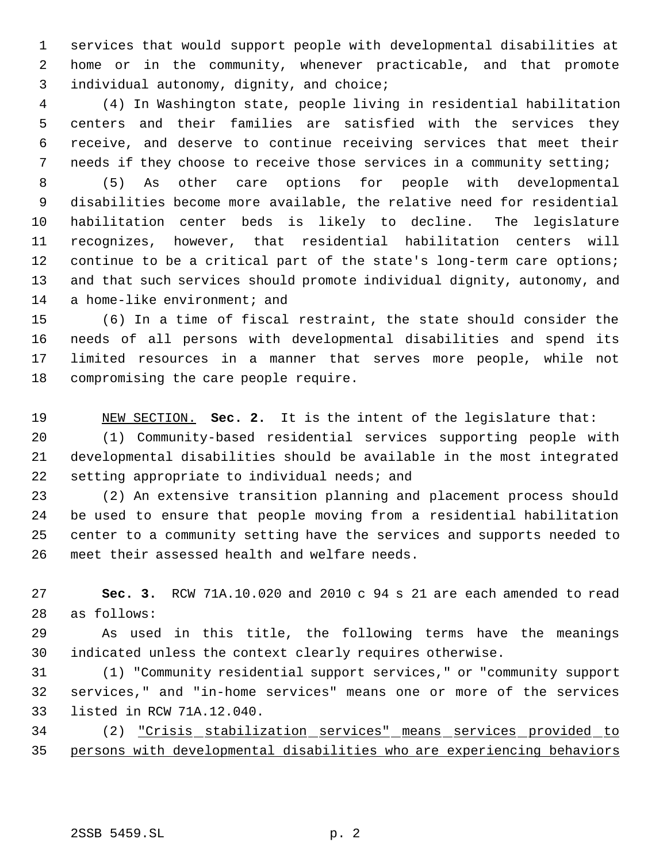services that would support people with developmental disabilities at home or in the community, whenever practicable, and that promote 3 individual autonomy, dignity, and choice;

 (4) In Washington state, people living in residential habilitation centers and their families are satisfied with the services they receive, and deserve to continue receiving services that meet their needs if they choose to receive those services in a community setting;

 (5) As other care options for people with developmental disabilities become more available, the relative need for residential habilitation center beds is likely to decline. The legislature recognizes, however, that residential habilitation centers will continue to be a critical part of the state's long-term care options; and that such services should promote individual dignity, autonomy, and 14 a home-like environment; and

 (6) In a time of fiscal restraint, the state should consider the needs of all persons with developmental disabilities and spend its limited resources in a manner that serves more people, while not compromising the care people require.

NEW SECTION. **Sec. 2.** It is the intent of the legislature that:

 (1) Community-based residential services supporting people with developmental disabilities should be available in the most integrated setting appropriate to individual needs; and

 (2) An extensive transition planning and placement process should be used to ensure that people moving from a residential habilitation center to a community setting have the services and supports needed to meet their assessed health and welfare needs.

 **Sec. 3.** RCW 71A.10.020 and 2010 c 94 s 21 are each amended to read as follows:

 As used in this title, the following terms have the meanings indicated unless the context clearly requires otherwise.

 (1) "Community residential support services," or "community support services," and "in-home services" means one or more of the services listed in RCW 71A.12.040.

 (2) "Crisis stabilization services" means services provided to persons with developmental disabilities who are experiencing behaviors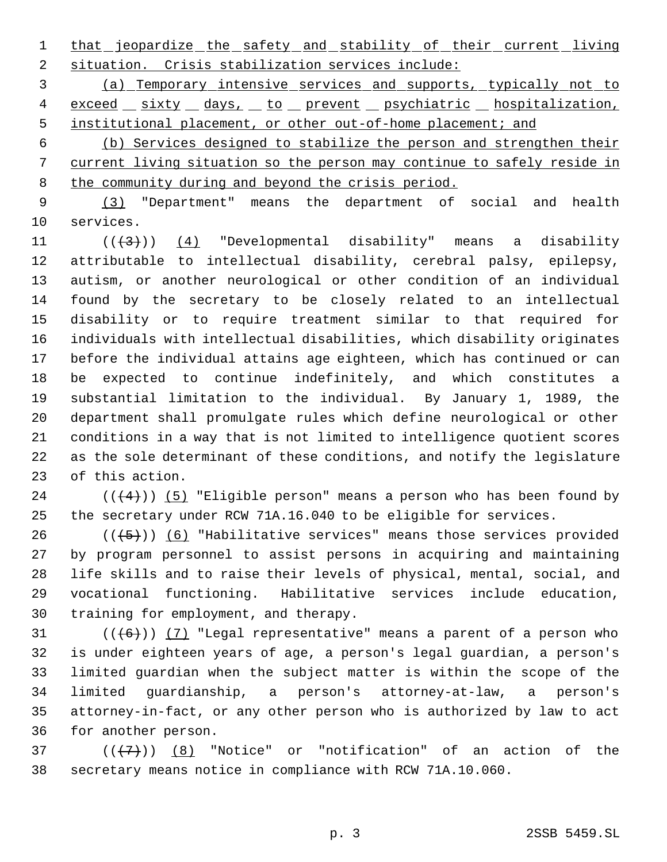1 that jeopardize the safety and stability of their current living situation. Crisis stabilization services include:

 (a) Temporary intensive services and supports, typically not to 4 exceed sixty days, to prevent psychiatric hospitalization, 5 institutional placement, or other out-of-home placement; and

 (b) Services designed to stabilize the person and strengthen their current living situation so the person may continue to safely reside in 8 the community during and beyond the crisis period.

 (3) "Department" means the department of social and health services.

 $((+3))$  (4) "Developmental disability" means a disability attributable to intellectual disability, cerebral palsy, epilepsy, autism, or another neurological or other condition of an individual found by the secretary to be closely related to an intellectual disability or to require treatment similar to that required for individuals with intellectual disabilities, which disability originates before the individual attains age eighteen, which has continued or can be expected to continue indefinitely, and which constitutes a substantial limitation to the individual. By January 1, 1989, the department shall promulgate rules which define neurological or other conditions in a way that is not limited to intelligence quotient scores as the sole determinant of these conditions, and notify the legislature of this action.

24  $((+4))$  (5) "Eligible person" means a person who has been found by the secretary under RCW 71A.16.040 to be eligible for services.

26 ( $(\frac{5}{1})$ ) (6) "Habilitative services" means those services provided by program personnel to assist persons in acquiring and maintaining life skills and to raise their levels of physical, mental, social, and vocational functioning. Habilitative services include education, training for employment, and therapy.

 $((+6))$   $(7)$  "Legal representative" means a parent of a person who is under eighteen years of age, a person's legal guardian, a person's limited guardian when the subject matter is within the scope of the limited guardianship, a person's attorney-at-law, a person's attorney-in-fact, or any other person who is authorized by law to act for another person.

37 ( $(\overline{\{7\}})$  (8) "Notice" or "notification" of an action of the secretary means notice in compliance with RCW 71A.10.060.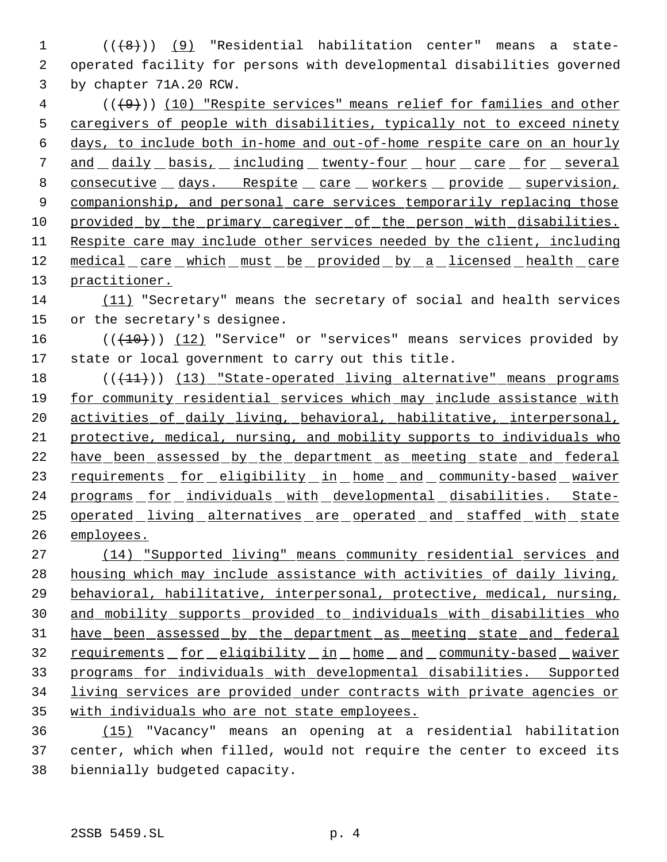1 (((8)) (9) "Residential habilitation center" means a state- operated facility for persons with developmental disabilities governed by chapter 71A.20 RCW.

 (( $\left(\frac{49}{10}\right)$  (10) "Respite services" means relief for families and other caregivers of people with disabilities, typically not to exceed ninety days, to include both in-home and out-of-home respite care on an hourly 7 and daily basis, including twenty-four hour care for several 8 consecutive days. Respite care workers provide supervision, 9 companionship, and personal care services temporarily replacing those 10 provided by the primary caregiver of the person with disabilities. Respite care may include other services needed by the client, including 12 medical care which must be provided by a licensed health care practitioner.

 (11) "Secretary" means the secretary of social and health services or the secretary's designee.

 $((+10))$   $(12)$  "Service" or "services" means services provided by state or local government to carry out this title.

18 (( $(11)$ )) (13) "State-operated living alternative" means programs for community residential services which may include assistance with activities of daily living, behavioral, habilitative, interpersonal, protective, medical, nursing, and mobility supports to individuals who have been assessed by the department as meeting state and federal 23 requirements for eligibility in home and community-based waiver 24 programs for individuals with developmental disabilities. State- operated living alternatives are operated and staffed with state employees.

 (14) "Supported living" means community residential services and housing which may include assistance with activities of daily living, behavioral, habilitative, interpersonal, protective, medical, nursing, and mobility supports provided to individuals with disabilities who have been assessed by the department as meeting state and federal 32 requirements for eligibility in home and community-based waiver programs for individuals with developmental disabilities. Supported living services are provided under contracts with private agencies or with individuals who are not state employees.

 (15) "Vacancy" means an opening at a residential habilitation center, which when filled, would not require the center to exceed its biennially budgeted capacity.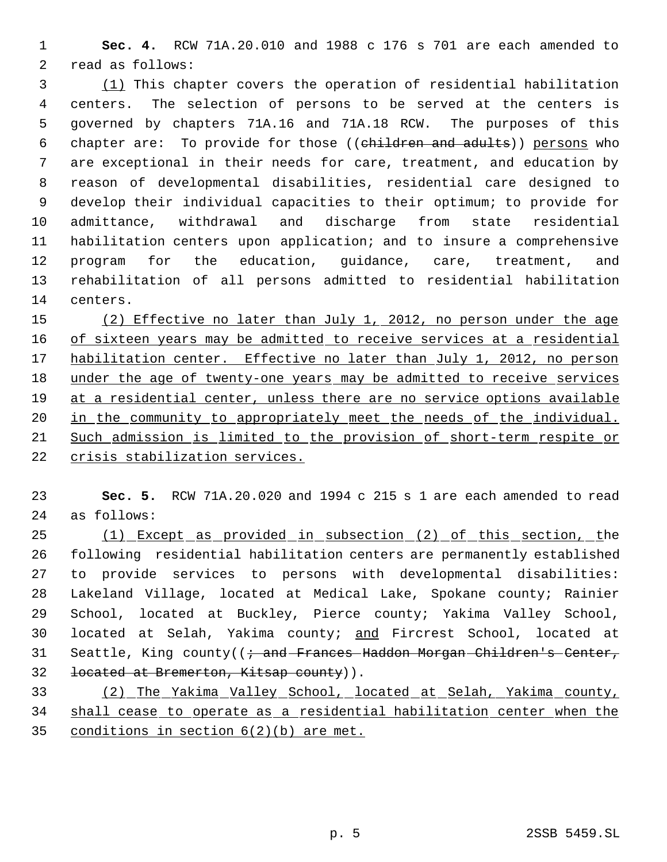**Sec. 4.** RCW 71A.20.010 and 1988 c 176 s 701 are each amended to read as follows:

 (1) This chapter covers the operation of residential habilitation centers. The selection of persons to be served at the centers is governed by chapters 71A.16 and 71A.18 RCW. The purposes of this 6 chapter are: To provide for those ((children and adults)) persons who are exceptional in their needs for care, treatment, and education by reason of developmental disabilities, residential care designed to develop their individual capacities to their optimum; to provide for admittance, withdrawal and discharge from state residential habilitation centers upon application; and to insure a comprehensive program for the education, guidance, care, treatment, and rehabilitation of all persons admitted to residential habilitation centers.

15 (2) Effective no later than July 1, 2012, no person under the age 16 of sixteen years may be admitted to receive services at a residential 17 habilitation center. Effective no later than July 1, 2012, no person under the age of twenty-one years may be admitted to receive services at a residential center, unless there are no service options available 20 in the community to appropriately meet the needs of the individual. Such admission is limited to the provision of short-term respite or crisis stabilization services.

 **Sec. 5.** RCW 71A.20.020 and 1994 c 215 s 1 are each amended to read as follows:

 (1) Except as provided in subsection (2) of this section, the following residential habilitation centers are permanently established to provide services to persons with developmental disabilities: Lakeland Village, located at Medical Lake, Spokane county; Rainier School, located at Buckley, Pierce county; Yakima Valley School, located at Selah, Yakima county; and Fircrest School, located at 31 Seattle, King county((  $\div$  and Frances Haddon Morgan Children's Center, 32 located at Bremerton, Kitsap county)).

 (2) The Yakima Valley School, located at Selah, Yakima county, shall cease to operate as a residential habilitation center when the conditions in section 6(2)(b) are met.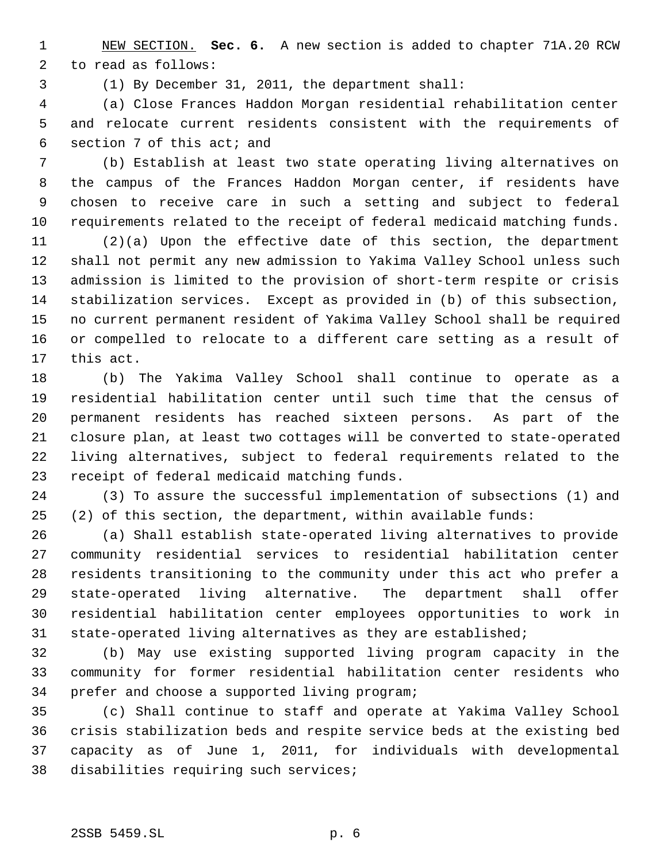NEW SECTION. **Sec. 6.** A new section is added to chapter 71A.20 RCW to read as follows:

(1) By December 31, 2011, the department shall:

 (a) Close Frances Haddon Morgan residential rehabilitation center and relocate current residents consistent with the requirements of section 7 of this act; and

 (b) Establish at least two state operating living alternatives on the campus of the Frances Haddon Morgan center, if residents have chosen to receive care in such a setting and subject to federal requirements related to the receipt of federal medicaid matching funds.

 (2)(a) Upon the effective date of this section, the department shall not permit any new admission to Yakima Valley School unless such admission is limited to the provision of short-term respite or crisis stabilization services. Except as provided in (b) of this subsection, no current permanent resident of Yakima Valley School shall be required or compelled to relocate to a different care setting as a result of this act.

 (b) The Yakima Valley School shall continue to operate as a residential habilitation center until such time that the census of permanent residents has reached sixteen persons. As part of the closure plan, at least two cottages will be converted to state-operated living alternatives, subject to federal requirements related to the receipt of federal medicaid matching funds.

 (3) To assure the successful implementation of subsections (1) and (2) of this section, the department, within available funds:

 (a) Shall establish state-operated living alternatives to provide community residential services to residential habilitation center residents transitioning to the community under this act who prefer a state-operated living alternative. The department shall offer residential habilitation center employees opportunities to work in state-operated living alternatives as they are established;

 (b) May use existing supported living program capacity in the community for former residential habilitation center residents who prefer and choose a supported living program;

 (c) Shall continue to staff and operate at Yakima Valley School crisis stabilization beds and respite service beds at the existing bed capacity as of June 1, 2011, for individuals with developmental disabilities requiring such services;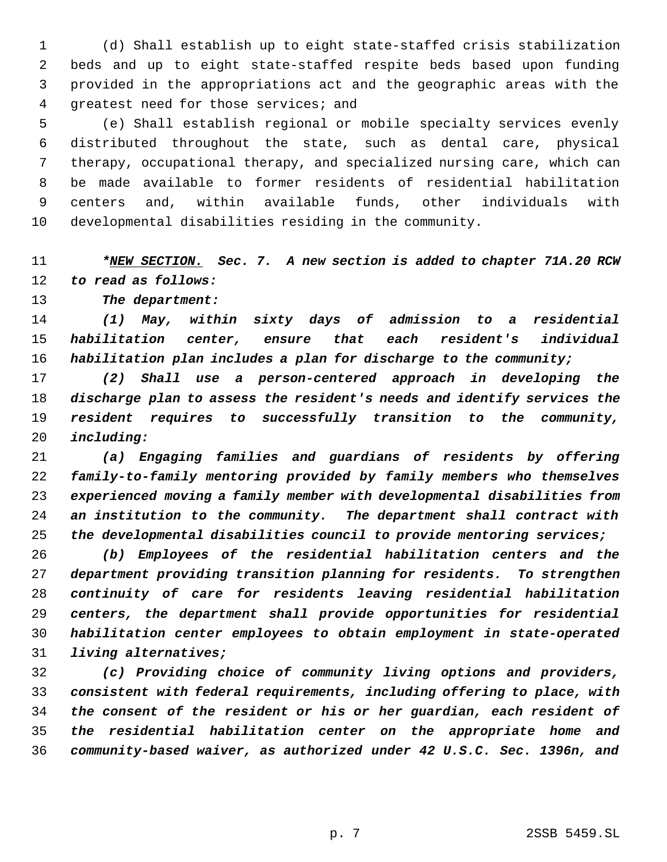(d) Shall establish up to eight state-staffed crisis stabilization beds and up to eight state-staffed respite beds based upon funding provided in the appropriations act and the geographic areas with the greatest need for those services; and

 (e) Shall establish regional or mobile specialty services evenly distributed throughout the state, such as dental care, physical therapy, occupational therapy, and specialized nursing care, which can be made available to former residents of residential habilitation centers and, within available funds, other individuals with developmental disabilities residing in the community.

## *\*NEW SECTION. Sec. 7. A new section is added to chapter 71A.20 RCW to read as follows:*

*The department:*

 *(1) May, within sixty days of admission to a residential habilitation center, ensure that each resident's individual habilitation plan includes a plan for discharge to the community;*

 *(2) Shall use a person-centered approach in developing the discharge plan to assess the resident's needs and identify services the resident requires to successfully transition to the community, including:*

 *(a) Engaging families and guardians of residents by offering family-to-family mentoring provided by family members who themselves experienced moving a family member with developmental disabilities from an institution to the community. The department shall contract with the developmental disabilities council to provide mentoring services;*

 *(b) Employees of the residential habilitation centers and the department providing transition planning for residents. To strengthen continuity of care for residents leaving residential habilitation centers, the department shall provide opportunities for residential habilitation center employees to obtain employment in state-operated living alternatives;*

 *(c) Providing choice of community living options and providers, consistent with federal requirements, including offering to place, with the consent of the resident or his or her guardian, each resident of the residential habilitation center on the appropriate home and community-based waiver, as authorized under 42 U.S.C. Sec. 1396n, and*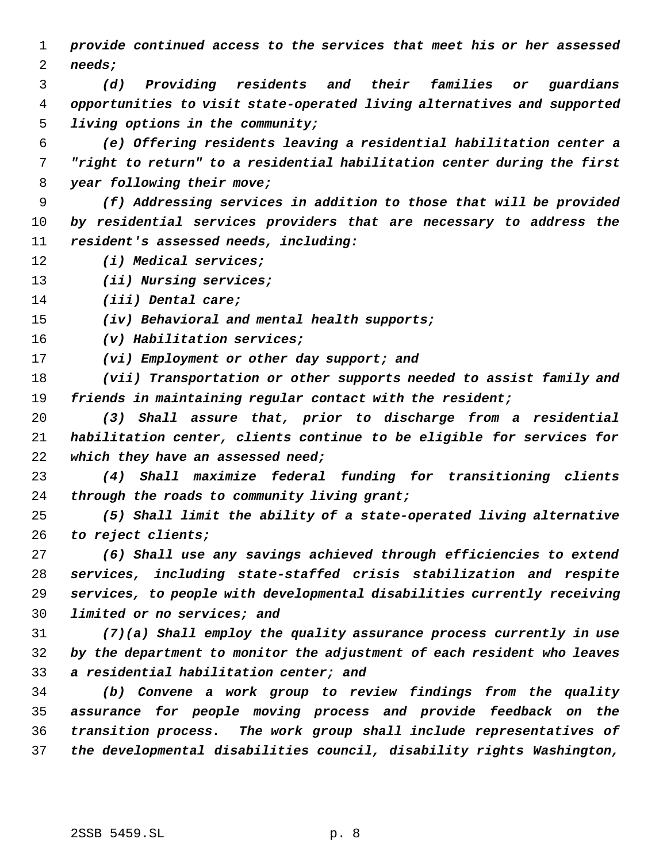*provide continued access to the services that meet his or her assessed needs;*

 *(d) Providing residents and their families or guardians opportunities to visit state-operated living alternatives and supported living options in the community;*

 *(e) Offering residents leaving a residential habilitation center a "right to return" to a residential habilitation center during the first year following their move;*

 *(f) Addressing services in addition to those that will be provided by residential services providers that are necessary to address the resident's assessed needs, including:*

- *(i) Medical services;*
- *(ii) Nursing services;*

*(iii) Dental care;*

*(iv) Behavioral and mental health supports;*

*(v) Habilitation services;*

*(vi) Employment or other day support; and*

 *(vii) Transportation or other supports needed to assist family and friends in maintaining regular contact with the resident;*

 *(3) Shall assure that, prior to discharge from a residential habilitation center, clients continue to be eligible for services for which they have an assessed need;*

 *(4) Shall maximize federal funding for transitioning clients through the roads to community living grant;*

 *(5) Shall limit the ability of a state-operated living alternative to reject clients;*

 *(6) Shall use any savings achieved through efficiencies to extend services, including state-staffed crisis stabilization and respite services, to people with developmental disabilities currently receiving limited or no services; and*

 *(7)(a) Shall employ the quality assurance process currently in use by the department to monitor the adjustment of each resident who leaves a residential habilitation center; and*

 *(b) Convene a work group to review findings from the quality assurance for people moving process and provide feedback on the transition process. The work group shall include representatives of the developmental disabilities council, disability rights Washington,*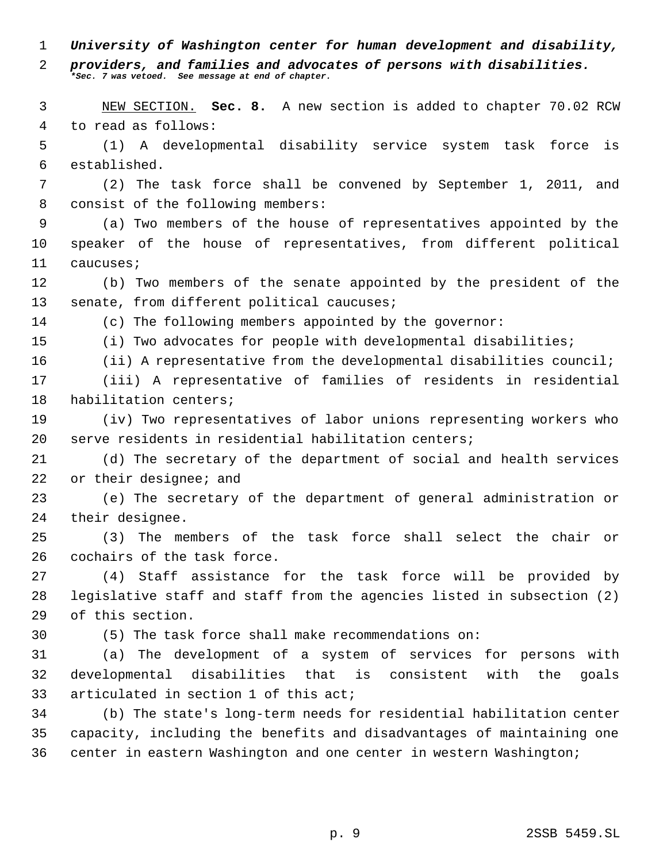*University of Washington center for human development and disability,*

 *providers, and families and advocates of persons with disabilities. \*Sec. 7 was vetoed. See message at end of chapter.*

 NEW SECTION. **Sec. 8.** A new section is added to chapter 70.02 RCW to read as follows:

 (1) A developmental disability service system task force is established.

 (2) The task force shall be convened by September 1, 2011, and consist of the following members:

 (a) Two members of the house of representatives appointed by the speaker of the house of representatives, from different political caucuses;

 (b) Two members of the senate appointed by the president of the 13 senate, from different political caucuses;

(c) The following members appointed by the governor:

(i) Two advocates for people with developmental disabilities;

(ii) A representative from the developmental disabilities council;

 (iii) A representative of families of residents in residential habilitation centers;

 (iv) Two representatives of labor unions representing workers who serve residents in residential habilitation centers;

 (d) The secretary of the department of social and health services 22 or their designee; and

 (e) The secretary of the department of general administration or their designee.

 (3) The members of the task force shall select the chair or cochairs of the task force.

 (4) Staff assistance for the task force will be provided by legislative staff and staff from the agencies listed in subsection (2) of this section.

(5) The task force shall make recommendations on:

 (a) The development of a system of services for persons with developmental disabilities that is consistent with the goals articulated in section 1 of this act;

 (b) The state's long-term needs for residential habilitation center capacity, including the benefits and disadvantages of maintaining one center in eastern Washington and one center in western Washington;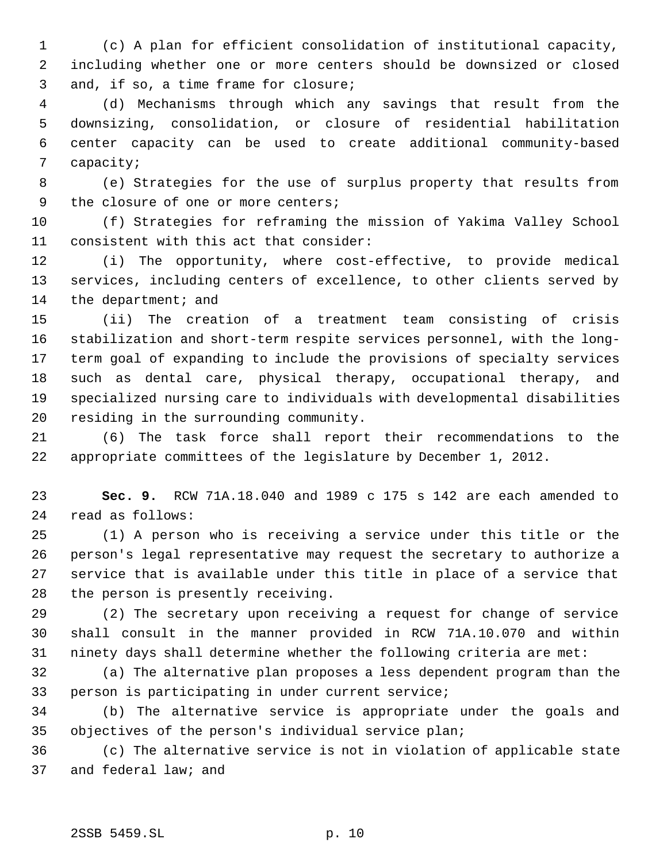(c) A plan for efficient consolidation of institutional capacity, including whether one or more centers should be downsized or closed and, if so, a time frame for closure;

 (d) Mechanisms through which any savings that result from the downsizing, consolidation, or closure of residential habilitation center capacity can be used to create additional community-based capacity;

 (e) Strategies for the use of surplus property that results from 9 the closure of one or more centers;

 (f) Strategies for reframing the mission of Yakima Valley School consistent with this act that consider:

 (i) The opportunity, where cost-effective, to provide medical services, including centers of excellence, to other clients served by 14 the department; and

 (ii) The creation of a treatment team consisting of crisis stabilization and short-term respite services personnel, with the long- term goal of expanding to include the provisions of specialty services such as dental care, physical therapy, occupational therapy, and specialized nursing care to individuals with developmental disabilities residing in the surrounding community.

 (6) The task force shall report their recommendations to the appropriate committees of the legislature by December 1, 2012.

 **Sec. 9.** RCW 71A.18.040 and 1989 c 175 s 142 are each amended to read as follows:

 (1) A person who is receiving a service under this title or the person's legal representative may request the secretary to authorize a service that is available under this title in place of a service that the person is presently receiving.

 (2) The secretary upon receiving a request for change of service shall consult in the manner provided in RCW 71A.10.070 and within ninety days shall determine whether the following criteria are met:

 (a) The alternative plan proposes a less dependent program than the person is participating in under current service;

 (b) The alternative service is appropriate under the goals and objectives of the person's individual service plan;

 (c) The alternative service is not in violation of applicable state and federal law; and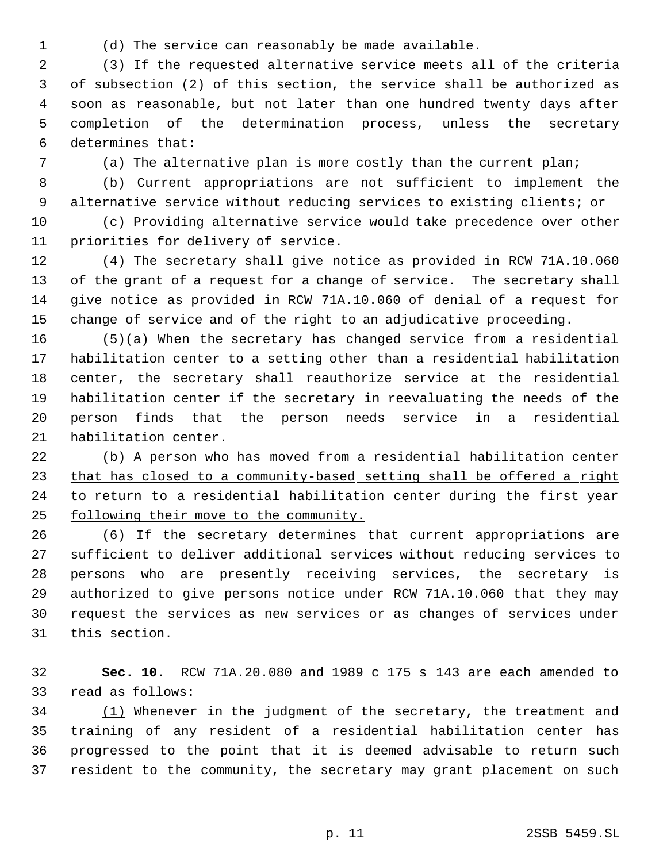(d) The service can reasonably be made available.

 (3) If the requested alternative service meets all of the criteria of subsection (2) of this section, the service shall be authorized as soon as reasonable, but not later than one hundred twenty days after completion of the determination process, unless the secretary determines that:

(a) The alternative plan is more costly than the current plan;

 (b) Current appropriations are not sufficient to implement the alternative service without reducing services to existing clients; or

 (c) Providing alternative service would take precedence over other priorities for delivery of service.

 (4) The secretary shall give notice as provided in RCW 71A.10.060 of the grant of a request for a change of service. The secretary shall give notice as provided in RCW 71A.10.060 of denial of a request for change of service and of the right to an adjudicative proceeding.

 $(5)(a)$  When the secretary has changed service from a residential habilitation center to a setting other than a residential habilitation center, the secretary shall reauthorize service at the residential habilitation center if the secretary in reevaluating the needs of the person finds that the person needs service in a residential habilitation center.

 (b) A person who has moved from a residential habilitation center 23 that has closed to a community-based setting shall be offered a right 24 to return to a residential habilitation center during the first year following their move to the community.

 (6) If the secretary determines that current appropriations are sufficient to deliver additional services without reducing services to persons who are presently receiving services, the secretary is authorized to give persons notice under RCW 71A.10.060 that they may request the services as new services or as changes of services under this section.

 **Sec. 10.** RCW 71A.20.080 and 1989 c 175 s 143 are each amended to read as follows:

34 (1) Whenever in the judgment of the secretary, the treatment and training of any resident of a residential habilitation center has progressed to the point that it is deemed advisable to return such resident to the community, the secretary may grant placement on such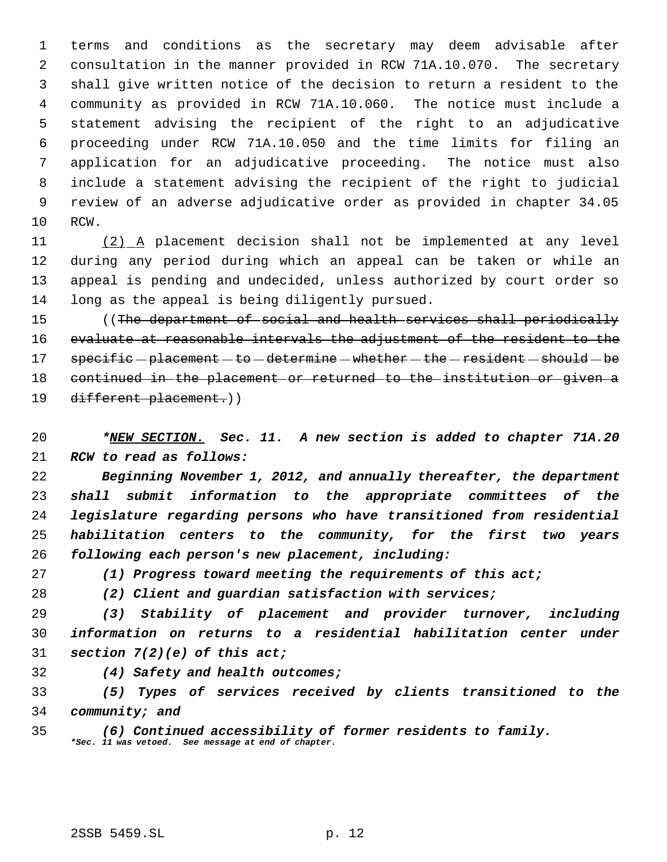terms and conditions as the secretary may deem advisable after consultation in the manner provided in RCW 71A.10.070. The secretary shall give written notice of the decision to return a resident to the community as provided in RCW 71A.10.060. The notice must include a statement advising the recipient of the right to an adjudicative proceeding under RCW 71A.10.050 and the time limits for filing an application for an adjudicative proceeding. The notice must also include a statement advising the recipient of the right to judicial review of an adverse adjudicative order as provided in chapter 34.05 RCW.

 (2) A placement decision shall not be implemented at any level during any period during which an appeal can be taken or while an appeal is pending and undecided, unless authorized by court order so long as the appeal is being diligently pursued.

15 ((The department of social and health services shall periodically 16 evaluate at reasonable intervals the adjustment of the resident to the 17 specific - placement - to - determine - whether - the - resident - should - be continued in the placement or returned to the institution or given a different placement.))

 *\*NEW SECTION. Sec. 11. A new section is added to chapter 71A.20 RCW to read as follows:*

 *Beginning November 1, 2012, and annually thereafter, the department shall submit information to the appropriate committees of the legislature regarding persons who have transitioned from residential habilitation centers to the community, for the first two years following each person's new placement, including:*

*(1) Progress toward meeting the requirements of this act;*

*(2) Client and guardian satisfaction with services;*

 *(3) Stability of placement and provider turnover, including information on returns to a residential habilitation center under section 7(2)(e) of this act;*

*(4) Safety and health outcomes;*

 *(5) Types of services received by clients transitioned to the community; and*

 *(6) Continued accessibility of former residents to family. \*Sec. 11 was vetoed. See message at end of chapter.*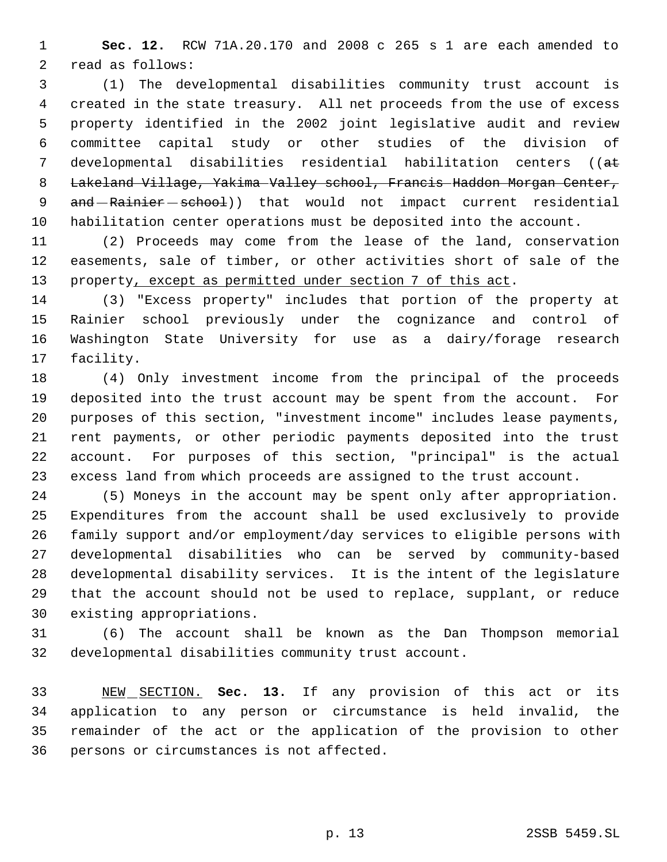**Sec. 12.** RCW 71A.20.170 and 2008 c 265 s 1 are each amended to read as follows:

 (1) The developmental disabilities community trust account is created in the state treasury. All net proceeds from the use of excess property identified in the 2002 joint legislative audit and review committee capital study or other studies of the division of developmental disabilities residential habilitation centers ((at 8 Lakeland Village, Yakima Valley school, Francis Haddon Morgan Center, 9 and Rainier school)) that would not impact current residential habilitation center operations must be deposited into the account.

 (2) Proceeds may come from the lease of the land, conservation easements, sale of timber, or other activities short of sale of the 13 property, except as permitted under section 7 of this act.

 (3) "Excess property" includes that portion of the property at Rainier school previously under the cognizance and control of Washington State University for use as a dairy/forage research facility.

 (4) Only investment income from the principal of the proceeds deposited into the trust account may be spent from the account. For purposes of this section, "investment income" includes lease payments, rent payments, or other periodic payments deposited into the trust account. For purposes of this section, "principal" is the actual excess land from which proceeds are assigned to the trust account.

 (5) Moneys in the account may be spent only after appropriation. Expenditures from the account shall be used exclusively to provide family support and/or employment/day services to eligible persons with developmental disabilities who can be served by community-based developmental disability services. It is the intent of the legislature that the account should not be used to replace, supplant, or reduce existing appropriations.

 (6) The account shall be known as the Dan Thompson memorial developmental disabilities community trust account.

 NEW SECTION. **Sec. 13.** If any provision of this act or its application to any person or circumstance is held invalid, the remainder of the act or the application of the provision to other persons or circumstances is not affected.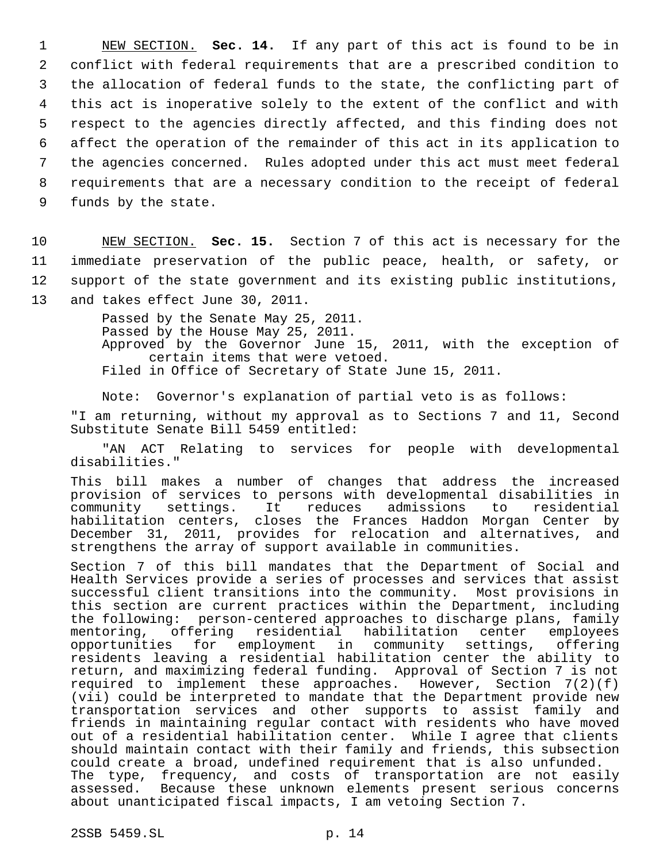NEW SECTION. **Sec. 14.** If any part of this act is found to be in conflict with federal requirements that are a prescribed condition to the allocation of federal funds to the state, the conflicting part of this act is inoperative solely to the extent of the conflict and with respect to the agencies directly affected, and this finding does not affect the operation of the remainder of this act in its application to the agencies concerned. Rules adopted under this act must meet federal requirements that are a necessary condition to the receipt of federal funds by the state.

10 NEW SECTION. **Sec. 15.** Section 7 of this act is necessary for the 11 immediate preservation of the public peace, health, or safety, or 12 support of the state government and its existing public institutions,

13 and takes effect June 30, 2011.

Passed by the Senate May 25, 2011. Passed by the House May 25, 2011. Approved by the Governor June 15, 2011, with the exception of certain items that were vetoed. Filed in Office of Secretary of State June 15, 2011.

Note: Governor's explanation of partial veto is as follows: "I am returning, without my approval as to Sections 7 and 11, Second

Substitute Senate Bill 5459 entitled:

"AN ACT Relating to services for people with developmental disabilities."

This bill makes a number of changes that address the increased provision of services to persons with developmental disabilities in community settings. It reduces admissions to residential community settings. It reduces admissions to habilitation centers, closes the Frances Haddon Morgan Center by December 31, 2011, provides for relocation and alternatives, and strengthens the array of support available in communities.

Section 7 of this bill mandates that the Department of Social and Health Services provide a series of processes and services that assist successful client transitions into the community. Most provisions in this section are current practices within the Department, including the following: person-centered approaches to discharge plans, family mentoring, offering residential habilitation center employees<br>opportunities for employment in community settings, offering for employment in community settings, offering residents leaving a residential habilitation center the ability to return, and maximizing federal funding. Approval of Section 7 is not required to implement these approaches. However, Section 7(2)(f) (vii) could be interpreted to mandate that the Department provide new transportation services and other supports to assist family and friends in maintaining regular contact with residents who have moved out of a residential habilitation center. While I agree that clients should maintain contact with their family and friends, this subsection could create a broad, undefined requirement that is also unfunded. The type, frequency, and costs of transportation are not easily assessed. Because these unknown elements present serious concerns about unanticipated fiscal impacts, I am vetoing Section 7.